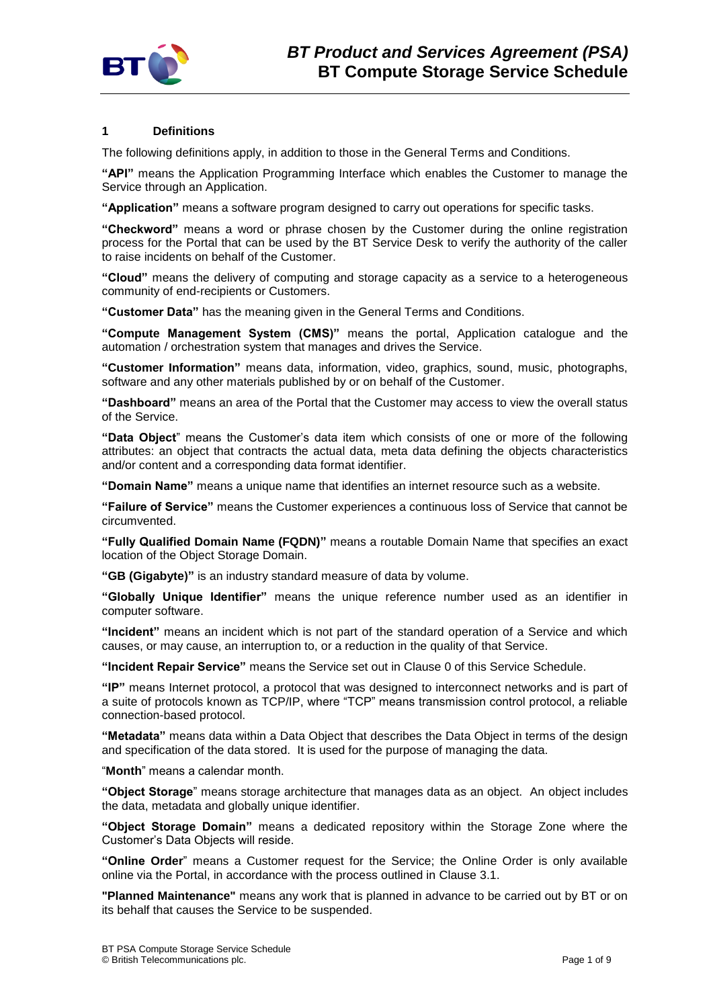

# **1 Definitions**

The following definitions apply, in addition to those in the General Terms and Conditions.

**"API"** means the Application Programming Interface which enables the Customer to manage the Service through an Application.

**"Application"** means a software program designed to carry out operations for specific tasks.

**"Checkword"** means a word or phrase chosen by the Customer during the online registration process for the Portal that can be used by the BT Service Desk to verify the authority of the caller to raise incidents on behalf of the Customer.

**"Cloud"** means the delivery of computing and storage capacity as a service to a heterogeneous community of end-recipients or Customers.

**"Customer Data"** has the meaning given in the General Terms and Conditions.

**"Compute Management System (CMS)"** means the portal, Application catalogue and the automation / orchestration system that manages and drives the Service.

**"Customer Information"** means data, information, video, graphics, sound, music, photographs, software and any other materials published by or on behalf of the Customer.

**"Dashboard"** means an area of the Portal that the Customer may access to view the overall status of the Service.

**"Data Object**" means the Customer's data item which consists of one or more of the following attributes: an object that contracts the actual data, meta data defining the objects characteristics and/or content and a corresponding data format identifier.

**"Domain Name"** means a unique name that identifies an internet resource such as a website.

**"Failure of Service"** means the Customer experiences a continuous loss of Service that cannot be circumvented.

**"Fully Qualified Domain Name (FQDN)"** means a routable Domain Name that specifies an exact location of the Object Storage Domain.

**"GB (Gigabyte)"** is an industry standard measure of data by volume.

**"Globally Unique Identifier"** means the unique reference number used as an identifier in computer software.

**"Incident"** means an incident which is not part of the standard operation of a Service and which causes, or may cause, an interruption to, or a reduction in the quality of that Service.

**"Incident Repair Service"** means the Service set out in Clause [0](#page-3-0) of this Service Schedule.

**"IP"** means Internet protocol, a protocol that was designed to interconnect networks and is part of a suite of protocols known as TCP/IP, where "TCP" means transmission control protocol, a reliable connection-based protocol.

**"Metadata"** means data within a Data Object that describes the Data Object in terms of the design and specification of the data stored. It is used for the purpose of managing the data.

"**Month**" means a calendar month.

**"Object Storage**" means storage architecture that manages data as an object. An object includes the data, metadata and globally unique identifier.

**"Object Storage Domain"** means a dedicated repository within the Storage Zone where the Customer's Data Objects will reside.

**"Online Order**" means a Customer request for the Service; the Online Order is only available online via the Portal, in accordance with the process outlined in Clause [3.1.](#page-1-0)

**"Planned Maintenance"** means any work that is planned in advance to be carried out by BT or on its behalf that causes the Service to be suspended.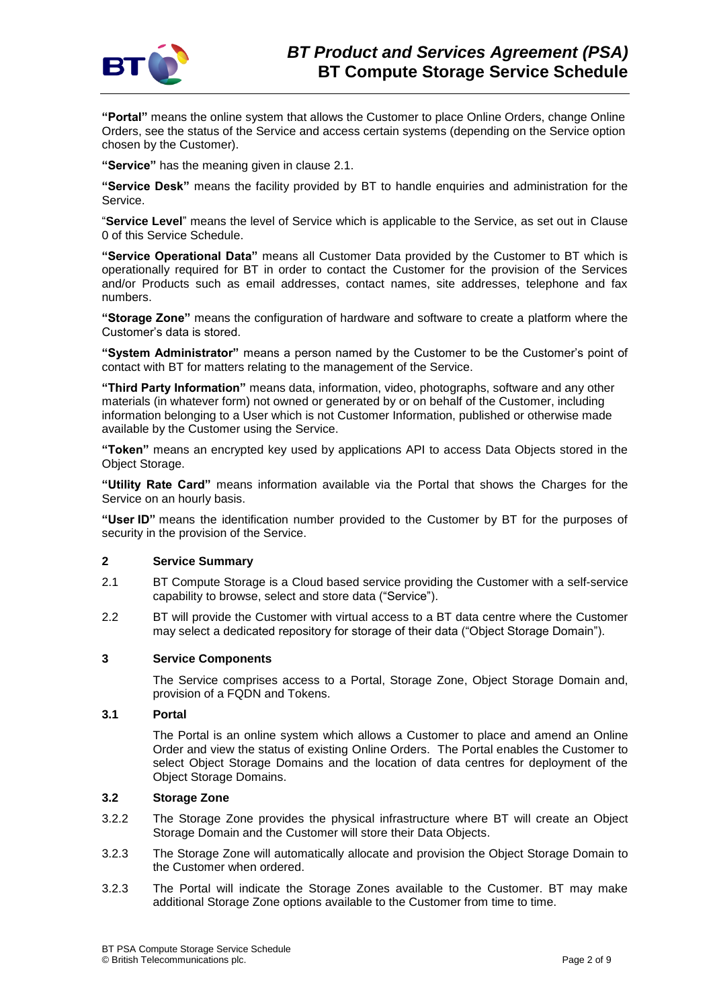

**"Portal"** means the online system that allows the Customer to place Online Orders, change Online Orders, see the status of the Service and access certain systems (depending on the Service option chosen by the Customer).

**"Service"** has the meaning given in clause 2.1.

**"Service Desk"** means the facility provided by BT to handle enquiries and administration for the Service.

"**Service Level**" means the level of Service which is applicable to the Service, as set out in Clause [0](#page-6-0) of this Service Schedule.

**"Service Operational Data"** means all Customer Data provided by the Customer to BT which is operationally required for BT in order to contact the Customer for the provision of the Services and/or Products such as email addresses, contact names, site addresses, telephone and fax numbers.

**"Storage Zone"** means the configuration of hardware and software to create a platform where the Customer's data is stored.

**"System Administrator"** means a person named by the Customer to be the Customer's point of contact with BT for matters relating to the management of the Service.

**"Third Party Information"** means data, information, video, photographs, software and any other materials (in whatever form) not owned or generated by or on behalf of the Customer, including information belonging to a User which is not Customer Information, published or otherwise made available by the Customer using the Service.

**"Token"** means an encrypted key used by applications API to access Data Objects stored in the Object Storage.

**"Utility Rate Card"** means information available via the Portal that shows the Charges for the Service on an hourly basis.

**"User ID"** means the identification number provided to the Customer by BT for the purposes of security in the provision of the Service.

## **2 Service Summary**

- 2.1 BT Compute Storage is a Cloud based service providing the Customer with a self-service capability to browse, select and store data ("Service").
- 2.2 BT will provide the Customer with virtual access to a BT data centre where the Customer may select a dedicated repository for storage of their data ("Object Storage Domain").

## **3 Service Components**

The Service comprises access to a Portal, Storage Zone, Object Storage Domain and, provision of a FQDN and Tokens.

## <span id="page-1-0"></span>**3.1 Portal**

The Portal is an online system which allows a Customer to place and amend an Online Order and view the status of existing Online Orders. The Portal enables the Customer to select Object Storage Domains and the location of data centres for deployment of the Object Storage Domains.

## **3.2 Storage Zone**

- 3.2.2 The Storage Zone provides the physical infrastructure where BT will create an Object Storage Domain and the Customer will store their Data Objects.
- 3.2.3 The Storage Zone will automatically allocate and provision the Object Storage Domain to the Customer when ordered.
- 3.2.3 The Portal will indicate the Storage Zones available to the Customer. BT may make additional Storage Zone options available to the Customer from time to time.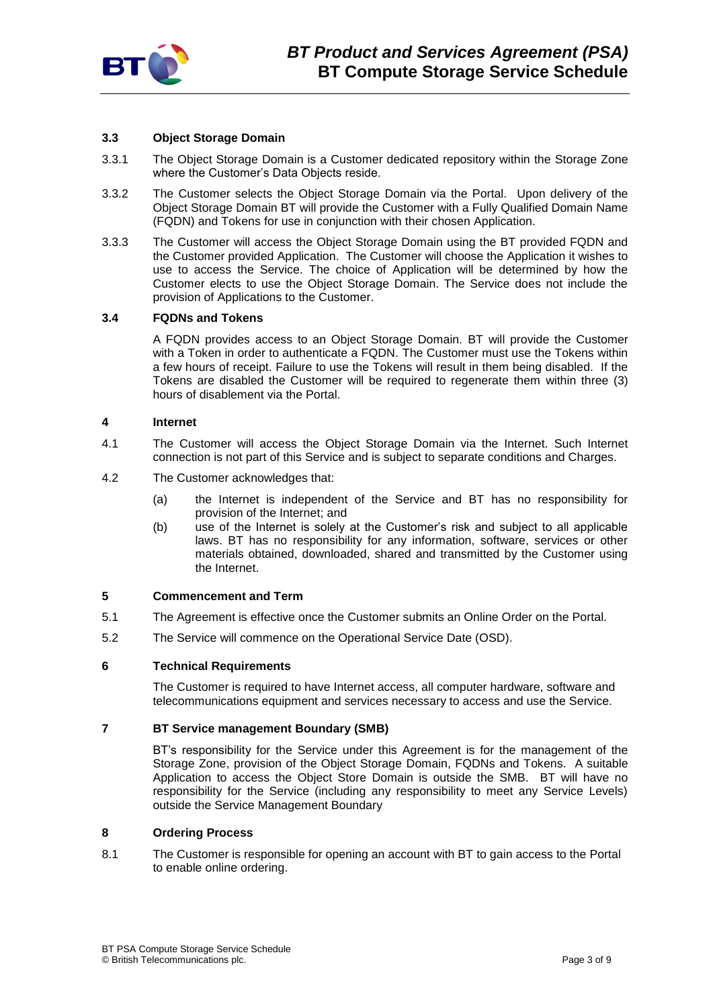

# **3.3 Object Storage Domain**

- 3.3.1 The Object Storage Domain is a Customer dedicated repository within the Storage Zone where the Customer's Data Objects reside.
- 3.3.2 The Customer selects the Object Storage Domain via the Portal. Upon delivery of the Object Storage Domain BT will provide the Customer with a Fully Qualified Domain Name (FQDN) and Tokens for use in conjunction with their chosen Application.
- 3.3.3 The Customer will access the Object Storage Domain using the BT provided FQDN and the Customer provided Application. The Customer will choose the Application it wishes to use to access the Service. The choice of Application will be determined by how the Customer elects to use the Object Storage Domain. The Service does not include the provision of Applications to the Customer.

## **3.4 FQDNs and Tokens**

A FQDN provides access to an Object Storage Domain. BT will provide the Customer with a Token in order to authenticate a FQDN. The Customer must use the Tokens within a few hours of receipt. Failure to use the Tokens will result in them being disabled. If the Tokens are disabled the Customer will be required to regenerate them within three (3) hours of disablement via the Portal.

# **4 Internet**

- 4.1 The Customer will access the Object Storage Domain via the Internet. Such Internet connection is not part of this Service and is subject to separate conditions and Charges.
- 4.2 The Customer acknowledges that:
	- (a) the Internet is independent of the Service and BT has no responsibility for provision of the Internet; and
	- (b) use of the Internet is solely at the Customer's risk and subject to all applicable laws. BT has no responsibility for any information, software, services or other materials obtained, downloaded, shared and transmitted by the Customer using the Internet.

## **5 Commencement and Term**

- 5.1 The Agreement is effective once the Customer submits an Online Order on the Portal.
- 5.2 The Service will commence on the Operational Service Date (OSD).

# **6 Technical Requirements**

The Customer is required to have Internet access, all computer hardware, software and telecommunications equipment and services necessary to access and use the Service.

## **7 BT Service management Boundary (SMB)**

BT's responsibility for the Service under this Agreement is for the management of the Storage Zone, provision of the Object Storage Domain, FQDNs and Tokens. A suitable Application to access the Object Store Domain is outside the SMB. BT will have no responsibility for the Service (including any responsibility to meet any Service Levels) outside the Service Management Boundary

## **8 Ordering Process**

8.1 The Customer is responsible for opening an account with BT to gain access to the Portal to enable online ordering.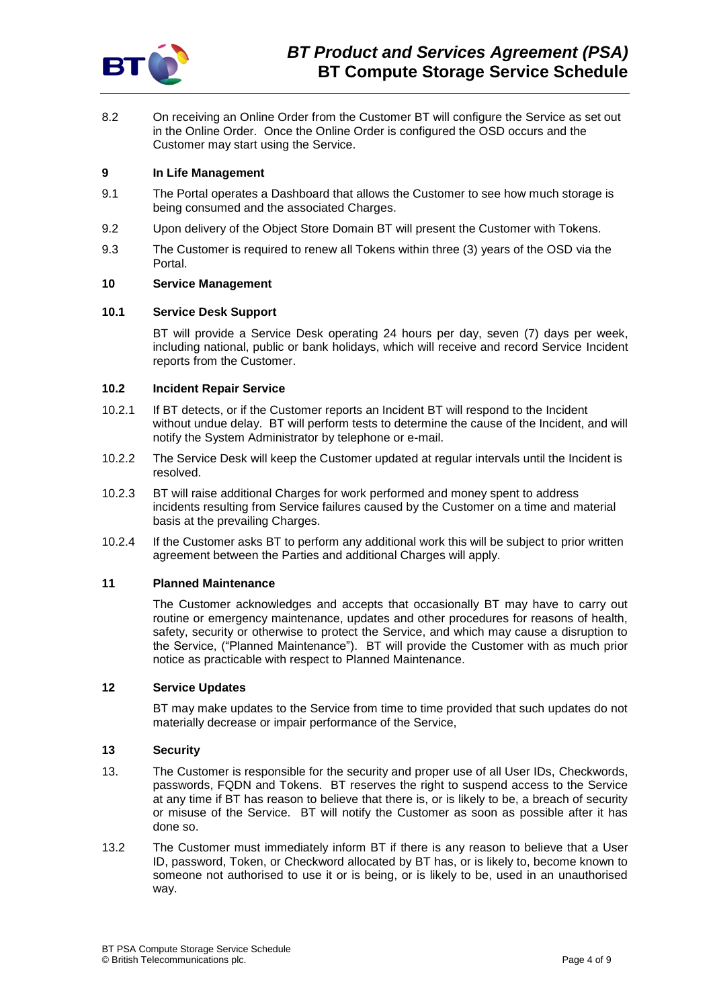

8.2 On receiving an Online Order from the Customer BT will configure the Service as set out in the Online Order. Once the Online Order is configured the OSD occurs and the Customer may start using the Service.

## **9 In Life Management**

- 9.1 The Portal operates a Dashboard that allows the Customer to see how much storage is being consumed and the associated Charges.
- 9.2 Upon delivery of the Object Store Domain BT will present the Customer with Tokens.
- 9.3 The Customer is required to renew all Tokens within three (3) years of the OSD via the Portal.

## **10 Service Management**

## **10.1 Service Desk Support**

BT will provide a Service Desk operating 24 hours per day, seven (7) days per week, including national, public or bank holidays, which will receive and record Service Incident reports from the Customer.

## <span id="page-3-0"></span>**10.2 Incident Repair Service**

- 10.2.1 If BT detects, or if the Customer reports an Incident BT will respond to the Incident without undue delay. BT will perform tests to determine the cause of the Incident, and will notify the System Administrator by telephone or e-mail.
- 10.2.2 The Service Desk will keep the Customer updated at regular intervals until the Incident is resolved.
- 10.2.3 BT will raise additional Charges for work performed and money spent to address incidents resulting from Service failures caused by the Customer on a time and material basis at the prevailing Charges.
- 10.2.4 If the Customer asks BT to perform any additional work this will be subject to prior written agreement between the Parties and additional Charges will apply.

## **11 Planned Maintenance**

The Customer acknowledges and accepts that occasionally BT may have to carry out routine or emergency maintenance, updates and other procedures for reasons of health, safety, security or otherwise to protect the Service, and which may cause a disruption to the Service, ("Planned Maintenance"). BT will provide the Customer with as much prior notice as practicable with respect to Planned Maintenance.

## **12 Service Updates**

BT may make updates to the Service from time to time provided that such updates do not materially decrease or impair performance of the Service,

## **13 Security**

- 13. The Customer is responsible for the security and proper use of all User IDs, Checkwords, passwords, FQDN and Tokens. BT reserves the right to suspend access to the Service at any time if BT has reason to believe that there is, or is likely to be, a breach of security or misuse of the Service. BT will notify the Customer as soon as possible after it has done so.
- 13.2 The Customer must immediately inform BT if there is any reason to believe that a User ID, password, Token, or Checkword allocated by BT has, or is likely to, become known to someone not authorised to use it or is being, or is likely to be, used in an unauthorised way.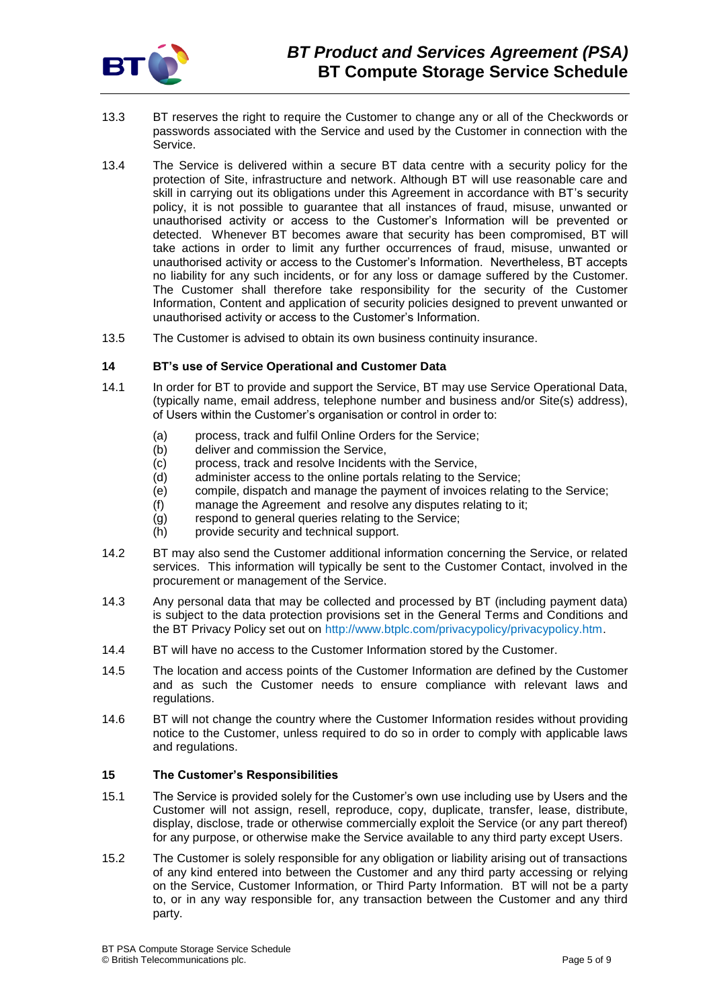

- 13.3 BT reserves the right to require the Customer to change any or all of the Checkwords or passwords associated with the Service and used by the Customer in connection with the Service.
- 13.4 The Service is delivered within a secure BT data centre with a security policy for the protection of Site, infrastructure and network. Although BT will use reasonable care and skill in carrying out its obligations under this Agreement in accordance with BT's security policy, it is not possible to guarantee that all instances of fraud, misuse, unwanted or unauthorised activity or access to the Customer's Information will be prevented or detected. Whenever BT becomes aware that security has been compromised, BT will take actions in order to limit any further occurrences of fraud, misuse, unwanted or unauthorised activity or access to the Customer's Information. Nevertheless, BT accepts no liability for any such incidents, or for any loss or damage suffered by the Customer. The Customer shall therefore take responsibility for the security of the Customer Information, Content and application of security policies designed to prevent unwanted or unauthorised activity or access to the Customer's Information.
- 13.5 The Customer is advised to obtain its own business continuity insurance.

## **14 BT's use of Service Operational and Customer Data**

- 14.1 In order for BT to provide and support the Service, BT may use Service Operational Data, (typically name, email address, telephone number and business and/or Site(s) address), of Users within the Customer's organisation or control in order to:
	- (a) process, track and fulfil Online Orders for the Service;
	- (b) deliver and commission the Service,
	- (c) process, track and resolve Incidents with the Service,
	- (d) administer access to the online portals relating to the Service;
	- (e) compile, dispatch and manage the payment of invoices relating to the Service;
	- (f) manage the Agreement and resolve any disputes relating to it;
	- (g) respond to general queries relating to the Service;
	- (h) provide security and technical support.
- 14.2 BT may also send the Customer additional information concerning the Service, or related services. This information will typically be sent to the Customer Contact, involved in the procurement or management of the Service.
- 14.3 Any personal data that may be collected and processed by BT (including payment data) is subject to the data protection provisions set in the General Terms and Conditions and the BT Privacy Policy set out on [http://www.btplc.com/privacypolicy/privacypolicy.htm.](http://www.btplc.com/privacypolicy/privacypolicy.htm)
- 14.4 BT will have no access to the Customer Information stored by the Customer.
- 14.5 The location and access points of the Customer Information are defined by the Customer and as such the Customer needs to ensure compliance with relevant laws and regulations.
- 14.6 BT will not change the country where the Customer Information resides without providing notice to the Customer, unless required to do so in order to comply with applicable laws and regulations.

## <span id="page-4-0"></span>**15 The Customer's Responsibilities**

- 15.1 The Service is provided solely for the Customer's own use including use by Users and the Customer will not assign, resell, reproduce, copy, duplicate, transfer, lease, distribute, display, disclose, trade or otherwise commercially exploit the Service (or any part thereof) for any purpose, or otherwise make the Service available to any third party except Users.
- 15.2 The Customer is solely responsible for any obligation or liability arising out of transactions of any kind entered into between the Customer and any third party accessing or relying on the Service, Customer Information, or Third Party Information. BT will not be a party to, or in any way responsible for, any transaction between the Customer and any third party.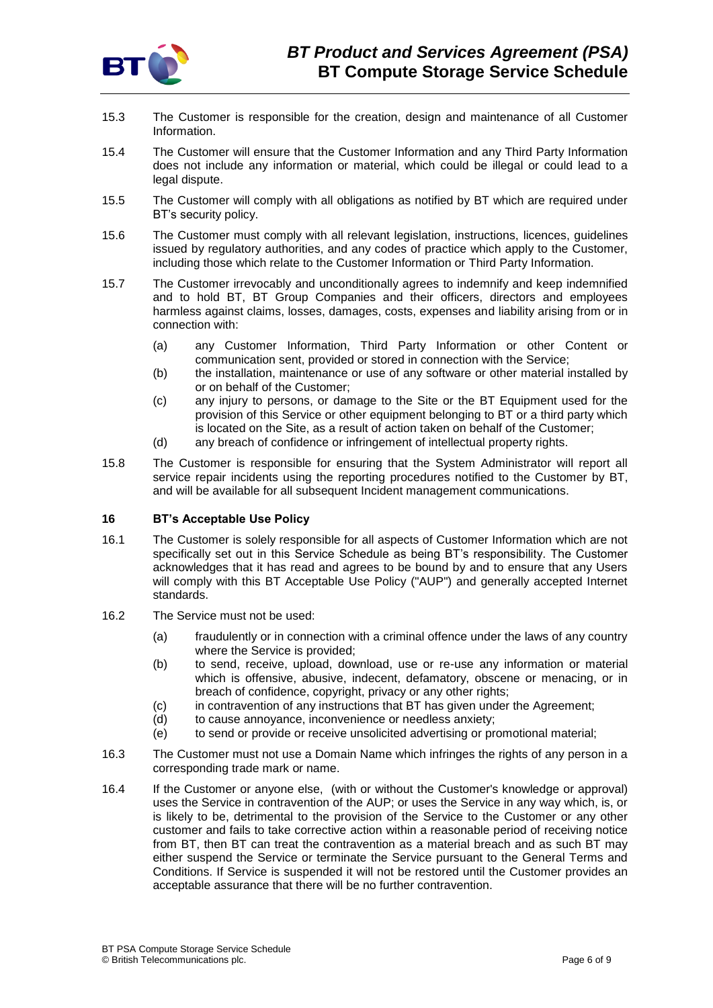

- 15.3 The Customer is responsible for the creation, design and maintenance of all Customer Information.
- 15.4 The Customer will ensure that the Customer Information and any Third Party Information does not include any information or material, which could be illegal or could lead to a legal dispute.
- 15.5 The Customer will comply with all obligations as notified by BT which are required under BT's security policy.
- 15.6 The Customer must comply with all relevant legislation, instructions, licences, guidelines issued by regulatory authorities, and any codes of practice which apply to the Customer, including those which relate to the Customer Information or Third Party Information.
- 15.7 The Customer irrevocably and unconditionally agrees to indemnify and keep indemnified and to hold BT, BT Group Companies and their officers, directors and employees harmless against claims, losses, damages, costs, expenses and liability arising from or in connection with:
	- (a) any Customer Information, Third Party Information or other Content or communication sent, provided or stored in connection with the Service;
	- (b) the installation, maintenance or use of any software or other material installed by or on behalf of the Customer;
	- (c) any injury to persons, or damage to the Site or the BT Equipment used for the provision of this Service or other equipment belonging to BT or a third party which is located on the Site, as a result of action taken on behalf of the Customer;
	- (d) any breach of confidence or infringement of intellectual property rights.
- 15.8 The Customer is responsible for ensuring that the System Administrator will report all service repair incidents using the reporting procedures notified to the Customer by BT, and will be available for all subsequent Incident management communications.

# **16 BT's Acceptable Use Policy**

- 16.1 The Customer is solely responsible for all aspects of Customer Information which are not specifically set out in this Service Schedule as being BT's responsibility. The Customer acknowledges that it has read and agrees to be bound by and to ensure that any Users will comply with this BT Acceptable Use Policy ("AUP") and generally accepted Internet standards.
- 16.2 The Service must not be used:
	- (a) fraudulently or in connection with a criminal offence under the laws of any country where the Service is provided;
	- (b) to send, receive, upload, download, use or re-use any information or material which is offensive, abusive, indecent, defamatory, obscene or menacing, or in breach of confidence, copyright, privacy or any other rights;
	- (c) in contravention of any instructions that BT has given under the Agreement;
	- (d) to cause annoyance, inconvenience or needless anxiety;
	- (e) to send or provide or receive unsolicited advertising or promotional material;
- 16.3 The Customer must not use a Domain Name which infringes the rights of any person in a corresponding trade mark or name.
- 16.4 If the Customer or anyone else, (with or without the Customer's knowledge or approval) uses the Service in contravention of the AUP; or uses the Service in any way which, is, or is likely to be, detrimental to the provision of the Service to the Customer or any other customer and fails to take corrective action within a reasonable period of receiving notice from BT, then BT can treat the contravention as a material breach and as such BT may either suspend the Service or terminate the Service pursuant to the General Terms and Conditions. If Service is suspended it will not be restored until the Customer provides an acceptable assurance that there will be no further contravention.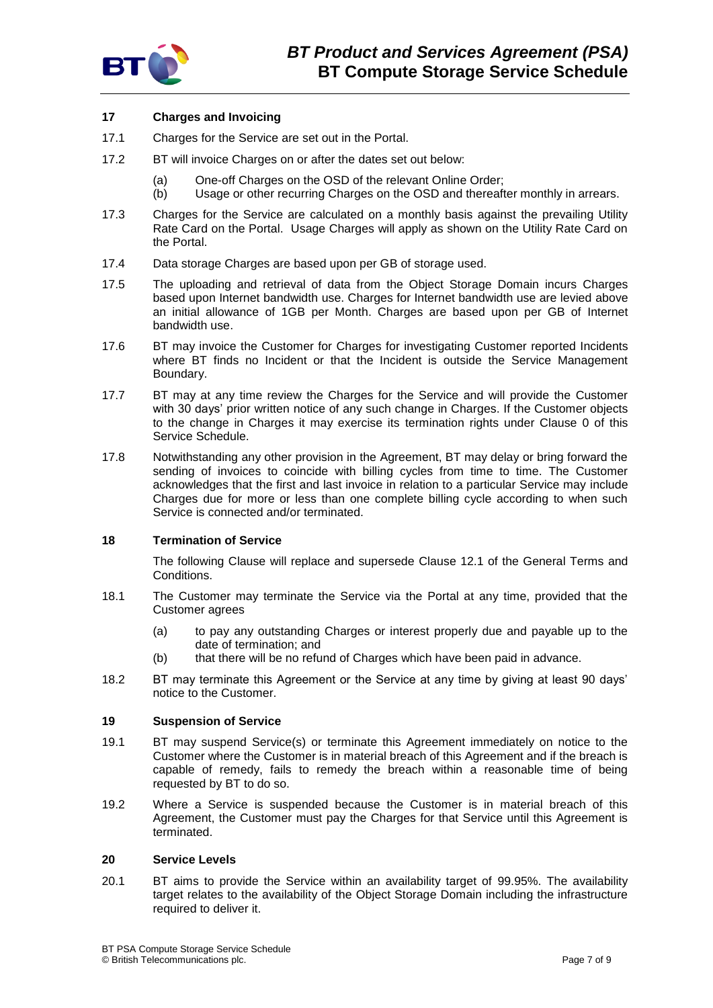

# **17 Charges and Invoicing**

- 17.1 Charges for the Service are set out in the Portal.
- 17.2 BT will invoice Charges on or after the dates set out below:
	- (a) One-off Charges on the OSD of the relevant Online Order;
	- (b) Usage or other recurring Charges on the OSD and thereafter monthly in arrears.
- 17.3 Charges for the Service are calculated on a monthly basis against the prevailing Utility Rate Card on the Portal. Usage Charges will apply as shown on the Utility Rate Card on the Portal.
- 17.4 Data storage Charges are based upon per GB of storage used.
- 17.5 The uploading and retrieval of data from the Object Storage Domain incurs Charges based upon Internet bandwidth use. Charges for Internet bandwidth use are levied above an initial allowance of 1GB per Month. Charges are based upon per GB of Internet bandwidth use.
- 17.6 BT may invoice the Customer for Charges for investigating Customer reported Incidents where BT finds no Incident or that the Incident is outside the Service Management Boundary.
- 17.7 BT may at any time review the Charges for the Service and will provide the Customer with 30 days' prior written notice of any such change in Charges. If the Customer objects to the change in Charges it may exercise its termination rights under Clause [0](#page-6-1) of this Service Schedule.
- 17.8 Notwithstanding any other provision in the Agreement, BT may delay or bring forward the sending of invoices to coincide with billing cycles from time to time. The Customer acknowledges that the first and last invoice in relation to a particular Service may include Charges due for more or less than one complete billing cycle according to when such Service is connected and/or terminated.

# <span id="page-6-1"></span>**18 Termination of Service**

The following Clause will replace and supersede Clause 12.1 of the General Terms and Conditions.

- 18.1 The Customer may terminate the Service via the Portal at any time, provided that the Customer agrees
	- (a) to pay any outstanding Charges or interest properly due and payable up to the date of termination; and
	- (b) that there will be no refund of Charges which have been paid in advance.
- 18.2 BT may terminate this Agreement or the Service at any time by giving at least 90 days' notice to the Customer.

## **19 Suspension of Service**

- 19.1 BT may suspend Service(s) or terminate this Agreement immediately on notice to the Customer where the Customer is in material breach of this Agreement and if the breach is capable of remedy, fails to remedy the breach within a reasonable time of being requested by BT to do so.
- 19.2 Where a Service is suspended because the Customer is in material breach of this Agreement, the Customer must pay the Charges for that Service until this Agreement is terminated.

## <span id="page-6-0"></span>**20 Service Levels**

20.1 BT aims to provide the Service within an availability target of 99.95%. The availability target relates to the availability of the Object Storage Domain including the infrastructure required to deliver it.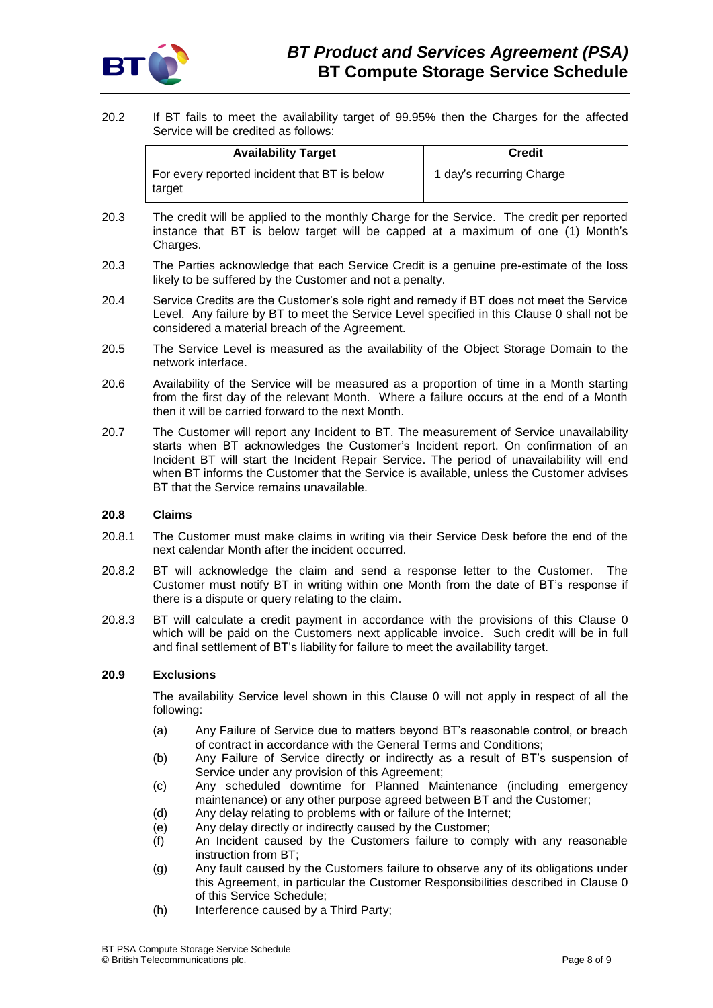

20.2 If BT fails to meet the availability target of 99.95% then the Charges for the affected Service will be credited as follows:

| <b>Availability Target</b>                             | <b>Credit</b>            |
|--------------------------------------------------------|--------------------------|
| For every reported incident that BT is below<br>target | 1 day's recurring Charge |

- 20.3 The credit will be applied to the monthly Charge for the Service. The credit per reported instance that BT is below target will be capped at a maximum of one (1) Month's Charges.
- 20.3 The Parties acknowledge that each Service Credit is a genuine pre-estimate of the loss likely to be suffered by the Customer and not a penalty.
- 20.4 Service Credits are the Customer's sole right and remedy if BT does not meet the Service Level. Any failure by BT to meet the Service Level specified in this Clause [0](#page-6-0) shall not be considered a material breach of the Agreement.
- 20.5 The Service Level is measured as the availability of the Object Storage Domain to the network interface.
- 20.6 Availability of the Service will be measured as a proportion of time in a Month starting from the first day of the relevant Month. Where a failure occurs at the end of a Month then it will be carried forward to the next Month.
- 20.7 The Customer will report any Incident to BT. The measurement of Service unavailability starts when BT acknowledges the Customer's Incident report. On confirmation of an Incident BT will start the Incident Repair Service. The period of unavailability will end when BT informs the Customer that the Service is available, unless the Customer advises BT that the Service remains unavailable.

## **20.8 Claims**

- 20.8.1 The Customer must make claims in writing via their Service Desk before the end of the next calendar Month after the incident occurred.
- 20.8.2 BT will acknowledge the claim and send a response letter to the Customer. The Customer must notify BT in writing within one Month from the date of BT's response if there is a dispute or query relating to the claim.
- 20.8.3 BT will calculate a credit payment in accordance with the provisions of this Clause [0](#page-6-0) which will be paid on the Customers next applicable invoice. Such credit will be in full and final settlement of BT's liability for failure to meet the availability target.

## **20.9 Exclusions**

The availability Service level shown in this Clause [0](#page-6-0) will not apply in respect of all the following:

- (a) Any Failure of Service due to matters beyond BT's reasonable control, or breach of contract in accordance with the General Terms and Conditions;
- (b) Any Failure of Service directly or indirectly as a result of BT's suspension of Service under any provision of this Agreement;
- (c) Any scheduled downtime for Planned Maintenance (including emergency maintenance) or any other purpose agreed between BT and the Customer;
- (d) Any delay relating to problems with or failure of the Internet;
- (e) Any delay directly or indirectly caused by the Customer;
- (f) An Incident caused by the Customers failure to comply with any reasonable instruction from BT;
- (g) Any fault caused by the Customers failure to observe any of its obligations under this Agreement, in particular the Customer Responsibilities described in Clause [0](#page-4-0) of this Service Schedule;
- (h) Interference caused by a Third Party;